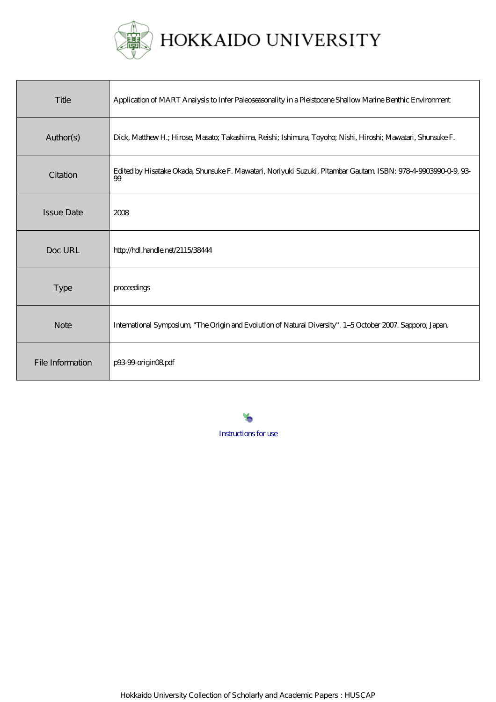

| Title             | Application of MART Analysis to Infer Paleoseasonality in a Pleistocene Shallow Marine Benthic Environment          |
|-------------------|---------------------------------------------------------------------------------------------------------------------|
| Author(s)         | Dick, Matthew H.; Hirose, Masato; Takashima, Reishi; Ishimura, Toyoho; Nishi, Hiroshi; Mawatari, Shunsuke F.        |
| Citation          | Edited by Hisatake Okada, Shunsuke F. Mawatari, Noriyuki Suzuki, Pitambar Gautam ISBN: 978-4-9903990-0-9, 93-<br>99 |
| <b>Issue Date</b> | 2008                                                                                                                |
| Doc URL           | http://hdl.handle.net/2115/38444                                                                                    |
| Type              | proceedings                                                                                                         |
| <b>Note</b>       | International Symposium, "The Origin and Evolution of Natural Diversity". 1-5 October 2007. Sapporo, Japan.         |
| File Information  | p9399-origin08pdf                                                                                                   |

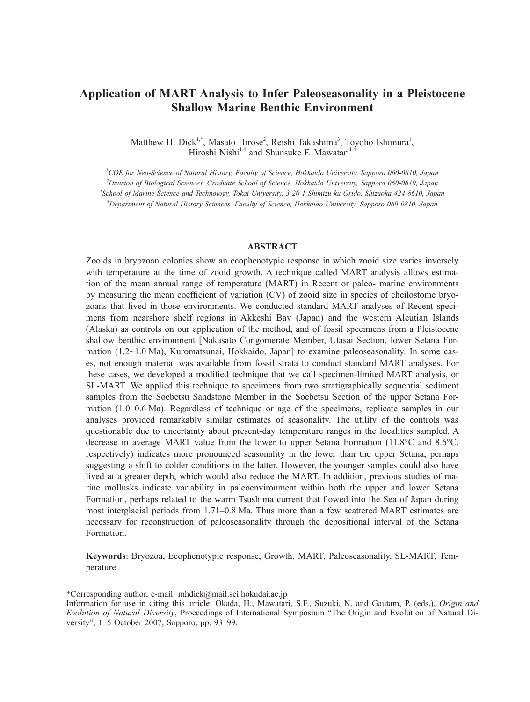# **Application of MART Analysis to Infer Paleoseasonality in a Pleistocene Shallow Marine Benthic Environment**

Matthew H. Dick<sup>1,\*</sup>, Masato Hirose<sup>2</sup>, Reishi Takashima<sup>3</sup>, Toyoho Ishimura<sup>1</sup>, Hiroshi Nishi<sup>1,4</sup> and Shunsuke F. Mawatari<sup>1,4</sup>

 *COE for Neo-Science of Natural History, Faculty of Science, Hokkaido University, Sapporo 060-0810, Japan Division of Biological Sciences, Graduate School of Science, Hokkaido University, Sapporo 060-0810, Japan School of Marine Science and Technology, Tokai University, 3-20-1 Shimizu-ku Orido, Shizuoka 424-8610, Japan Department of Natural History Sciences, Faculty of Science, Hokkaido University, Sapporo 060-0810, Japan*

## **ABSTRACT**

Zooids in bryozoan colonies show an ecophenotypic response in which zooid size varies inversely with temperature at the time of zooid growth. A technique called MART analysis allows estimation of the mean annual range of temperature (MART) in Recent or paleo- marine environments by measuring the mean coefficient of variation (CV) of zooid size in species of cheilostome bryozoans that lived in those environments. We conducted standard MART analyses of Recent specimens from nearshore shelf regions in Akkeshi Bay (Japan) and the western Aleutian Islands (Alaska) as controls on our application of the method, and of fossil specimens from a Pleistocene shallow benthic environment [Nakasato Congomerate Member, Utasai Section, lower Setana Formation (1.2~1.0 Ma), Kuromatsunai, Hokkaido, Japan] to examine paleoseasonality. In some cases, not enough material was available from fossil strata to conduct standard MART analyses. For these cases, we developed a modified technique that we call specimen-limited MART analysis, or SL-MART. We applied this technique to specimens from two stratigraphically sequential sediment samples from the Soebetsu Sandstone Member in the Soebetsu Section of the upper Setana Formation (1.0–0.6 Ma). Regardless of technique or age of the specimens, replicate samples in our analyses provided remarkably similar estimates of seasonality. The utility of the controls was questionable due to uncertainty about present-day temperature ranges in the localities sampled. A decrease in average MART value from the lower to upper Setana Formation (11.8°C and 8.6°C, respectively) indicates more pronounced seasonality in the lower than the upper Setana, perhaps suggesting a shift to colder conditions in the latter. However, the younger samples could also have lived at a greater depth, which would also reduce the MART. In addition, previous studies of marine mollusks indicate variability in paleoenvironment within both the upper and lower Setana Formation, perhaps related to the warm Tsushima current that flowed into the Sea of Japan during most interglacial periods from 1.71–0.8 Ma. Thus more than a few scattered MART estimates are necessary for reconstruction of paleoseasonality through the depositional interval of the Setana Formation.

**Keywords**: Bryozoa, Ecophenotypic response, Growth, MART, Paleoseasonality, SL-MART, Temperature

<sup>\*</sup>Corresponding author, e-mail: mhdick@mail.sci.hokudai.ac.jp

Information for use in citing this article: Okada, H., Mawatari, S.F., Suzuki, N. and Gautam, P. (eds.), *Origin and Evolution of Natural Diversity*, Proceedings of International Symposium "The Origin and Evolution of Natural Diversity", 1–5 October 2007, Sapporo, pp. 93–99.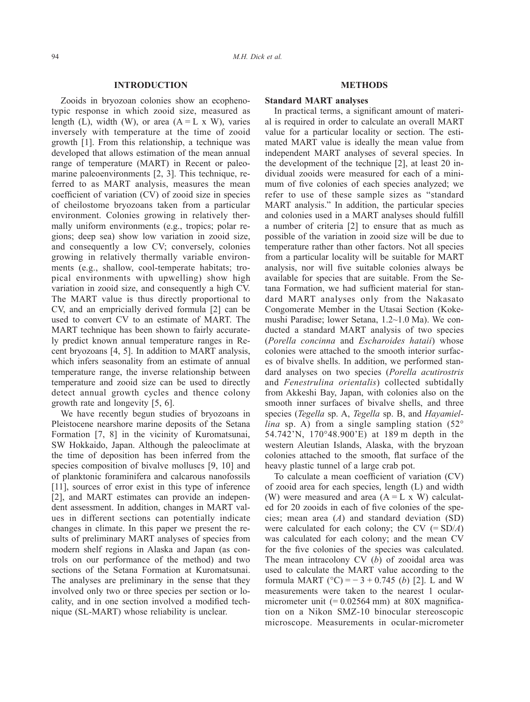## **INTRODUCTION**

Zooids in bryozoan colonies show an ecophenotypic response in which zooid size, measured as length (L), width (W), or area  $(A = L \times W)$ , varies inversely with temperature at the time of zooid growth [1]. From this relationship, a technique was developed that allows estimation of the mean annual range of temperature (MART) in Recent or paleomarine paleoenvironments [2, 3]. This technique, referred to as MART analysis, measures the mean coefficient of variation (CV) of zooid size in species of cheilostome bryozoans taken from a particular environment. Colonies growing in relatively thermally uniform environments (e.g., tropics; polar regions; deep sea) show low variation in zooid size, and consequently a low CV; conversely, colonies growing in relatively thermally variable environments (e.g., shallow, cool-temperate habitats; tropical environments with upwelling) show high variation in zooid size, and consequently a high CV. The MART value is thus directly proportional to CV, and an empricially derived formula [2] can be used to convert CV to an estimate of MART. The MART technique has been shown to fairly accurately predict known annual temperature ranges in Recent bryozoans [4, 5]. In addition to MART analysis, which infers seasonality from an estimate of annual temperature range, the inverse relationship between temperature and zooid size can be used to directly detect annual growth cycles and thence colony growth rate and longevity [5, 6].

We have recently begun studies of bryozoans in Pleistocene nearshore marine deposits of the Setana Formation [7, 8] in the vicinity of Kuromatsunai, SW Hokkaido, Japan. Although the paleoclimate at the time of deposition has been inferred from the species composition of bivalve molluscs [9, 10] and of planktonic foraminifera and calcarous nanofossils [11], sources of error exist in this type of inference [2], and MART estimates can provide an independent assessment. In addition, changes in MART values in different sections can potentially indicate changes in climate. In this paper we present the results of preliminary MART analyses of species from modern shelf regions in Alaska and Japan (as controls on our performance of the method) and two sections of the Setana Formation at Kuromatsunai. The analyses are preliminary in the sense that they involved only two or three species per section or locality, and in one section involved a modified technique (SL-MART) whose reliability is unclear.

## **METHODS**

## **Standard MART analyses**

In practical terms, a significant amount of material is required in order to calculate an overall MART value for a particular locality or section. The estimated MART value is ideally the mean value from independent MART analyses of several species. In the development of the technique [2], at least 20 individual zooids were measured for each of a minimum of five colonies of each species analyzed; we refer to use of these sample sizes as "standard MART analysis." In addition, the particular species and colonies used in a MART analyses should fulfill a number of criteria [2] to ensure that as much as possible of the variation in zooid size will be due to temperature rather than other factors. Not all species from a particular locality will be suitable for MART analysis, nor will five suitable colonies always be available for species that are suitable. From the Setana Formation, we had sufficient material for standard MART analyses only from the Nakasato Congomerate Member in the Utasai Section (Kokemushi Paradise; lower Setana, 1.2~1.0 Ma). We conducted a standard MART analysis of two species (*Porella concinna* and *Escharoides hataii*) whose colonies were attached to the smooth interior surfaces of bivalve shells. In addition, we performed standard analyses on two species (*Porella acutirostris* and *Fenestrulina orientalis*) collected subtidally from Akkeshi Bay, Japan, with colonies also on the smooth inner surfaces of bivalve shells, and three species (*Tegella* sp. A, *Tegella* sp. B, and *Hayamiellina* sp. A) from a single sampling station (52° 54.742'N, 170°48.900'E) at 189 m depth in the western Aleutian Islands, Alaska, with the bryzoan colonies attached to the smooth, flat surface of the heavy plastic tunnel of a large crab pot.

To calculate a mean coefficient of variation (CV) of zooid area for each species, length (L) and width (W) were measured and area  $(A = L \times W)$  calculated for 20 zooids in each of five colonies of the species; mean area (*A*) and standard deviation (SD) were calculated for each colony; the CV (= SD/*A*) was calculated for each colony; and the mean CV for the five colonies of the species was calculated. The mean intracolony CV (*b*) of zooidal area was used to calculate the MART value according to the formula MART ( $^{\circ}$ C) = - 3 + 0.745 (*b*) [2]. L and W measurements were taken to the nearest 1 ocularmicrometer unit  $(= 0.02564$  mm) at 80X magnification on a Nikon SMZ-10 binocular stereoscopic microscope. Measurements in ocular-micrometer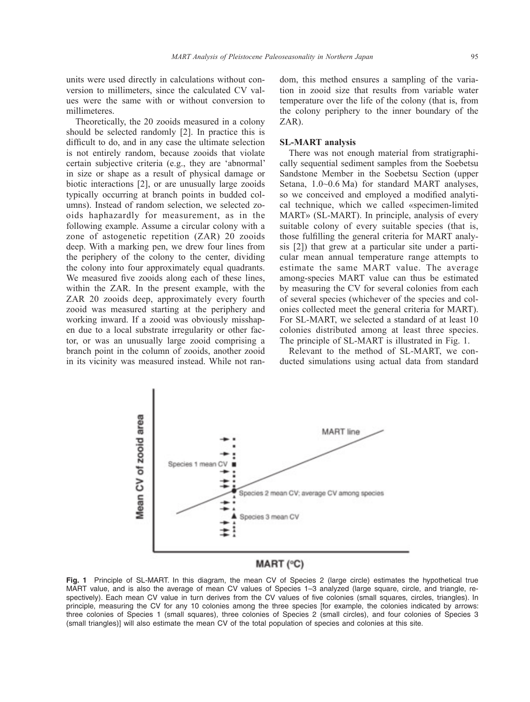units were used directly in calculations without conversion to millimeters, since the calculated CV values were the same with or without conversion to millimeteres.

Theoretically, the 20 zooids measured in a colony should be selected randomly [2]. In practice this is difficult to do, and in any case the ultimate selection is not entirely random, because zooids that violate certain subjective criteria (e.g., they are 'abnormal' in size or shape as a result of physical damage or biotic interactions [2], or are unusually large zooids typically occurring at branch points in budded columns). Instead of random selection, we selected zooids haphazardly for measurement, as in the following example. Assume a circular colony with a zone of astogenetic repetition (ZAR) 20 zooids deep. With a marking pen, we drew four lines from the periphery of the colony to the center, dividing the colony into four approximately equal quadrants. We measured five zooids along each of these lines, within the ZAR. In the present example, with the ZAR 20 zooids deep, approximately every fourth zooid was measured starting at the periphery and working inward. If a zooid was obviously misshapen due to a local substrate irregularity or other factor, or was an unusually large zooid comprising a branch point in the column of zooids, another zooid in its vicinity was measured instead. While not random, this method ensures a sampling of the variation in zooid size that results from variable water temperature over the life of the colony (that is, from the colony periphery to the inner boundary of the ZAR).

#### **SL-MART analysis**

There was not enough material from stratigraphically sequential sediment samples from the Soebetsu Sandstone Member in the Soebetsu Section (upper Setana, 1.0~0.6 Ma) for standard MART analyses, so we conceived and employed a modified analytical technique, which we called «specimen-limited MART» (SL-MART). In principle, analysis of every suitable colony of every suitable species (that is, those fulfilling the general criteria for MART analysis [2]) that grew at a particular site under a particular mean annual temperature range attempts to estimate the same MART value. The average among-species MART value can thus be estimated by measuring the CV for several colonies from each of several species (whichever of the species and colonies collected meet the general criteria for MART). For SL-MART, we selected a standard of at least 10 colonies distributed among at least three species. The principle of SL-MART is illustrated in Fig. 1.

Relevant to the method of SL-MART, we conducted simulations using actual data from standard



# MART (°C)

**Fig. 1** Principle of SL-MART. In this diagram, the mean CV of Species 2 (large circle) estimates the hypothetical true MART value, and is also the average of mean CV values of Species 1–3 analyzed (large square, circle, and triangle, respectively). Each mean CV value in turn derives from the CV values of five colonies (small squares, circles, triangles). In principle, measuring the CV for any 10 colonies among the three species [for example, the colonies indicated by arrows: three colonies of Species 1 (small squares), three colonies of Species 2 (small circles), and four colonies of Species 3 (small triangles)] will also estimate the mean CV of the total population of species and colonies at this site.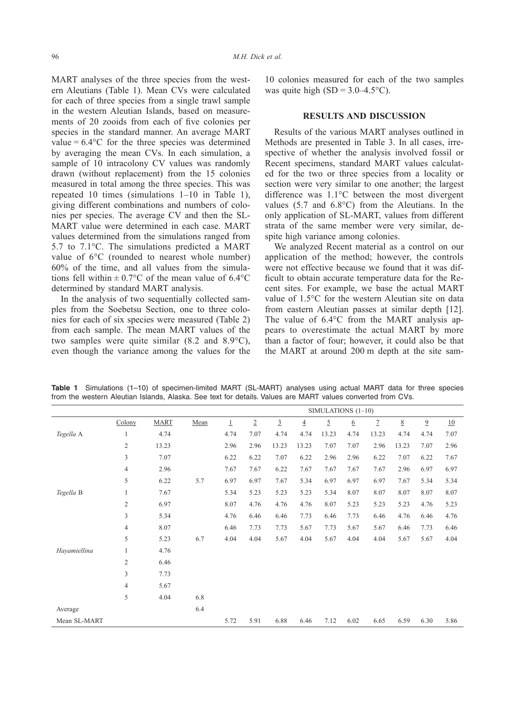MART analyses of the three species from the western Aleutians (Table 1). Mean CVs were calculated for each of three species from a single trawl sample in the western Aleutian Islands, based on measurements of 20 zooids from each of five colonies per species in the standard manner. An average MART value =  $6.4$ °C for the three species was determined by averaging the mean CVs. In each simulation, a sample of 10 intracolony CV values was randomly drawn (without replacement) from the 15 colonies measured in total among the three species. This was repeated 10 times (simulations 1–10 in Table 1), giving different combinations and numbers of colonies per species. The average CV and then the SL-MART value were determined in each case. MART values determined from the simulations ranged from 5.7 to 7.1°C. The simulations predicted a MART value of 6°C (rounded to nearest whole number) 60% of the time, and all values from the simulations fell within  $\pm$  0.7°C of the mean value of 6.4°C determined by standard MART analysis.

In the analysis of two sequentially collected samples from the Soebetsu Section, one to three colonies for each of six species were measured (Table 2) from each sample. The mean MART values of the two samples were quite similar (8.2 and 8.9°C), even though the variance among the values for the

10 colonies measured for each of the two samples was quite high  $(SD = 3.0-4.5^{\circ}C)$ .

## **RESULTS AND DISCUSSION**

Results of the various MART analyses outlined in Methods are presented in Table 3. In all cases, irrespective of whether the analysis involved fossil or Recent specimens, standard MART values calculated for the two or three species from a locality or section were very similar to one another; the largest difference was 1.1°C between the most divergent values (5.7 and 6.8°C) from the Aleutians. In the only application of SL-MART, values from different strata of the same member were very similar, despite high variance among colonies.

We analyzed Recent material as a control on our application of the method; however, the controls were not effective because we found that it was difficult to obtain accurate temperature data for the Recent sites. For example, we base the actual MART value of 1.5°C for the western Aleutian site on data from eastern Aleutian passes at similar depth [12]. The value of 6.4°C from the MART analysis appears to overestimate the actual MART by more than a factor of four; however, it could also be that the MART at around 200 m depth at the site sam-

SIMULATIONS (1–10)

|              |                | $SIMULATIONS (1-10)$ |      |      |                |                |                |       |      |               |                 |                |      |
|--------------|----------------|----------------------|------|------|----------------|----------------|----------------|-------|------|---------------|-----------------|----------------|------|
|              | Colony         | <b>MART</b>          | Mean | 1    | $\overline{2}$ | $\overline{3}$ | $\overline{4}$ | 5     | 6    | $\mathcal{I}$ | $\underline{8}$ | $\overline{9}$ | 10   |
| Tegella A    |                | 4.74                 |      | 4.74 | 7.07           | 4.74           | 4.74           | 13.23 | 4.74 | 13.23         | 4.74            | 4.74           | 7.07 |
|              | $\overline{2}$ | 13.23                |      | 2.96 | 2.96           | 13.23          | 13.23          | 7.07  | 7.07 | 2.96          | 13.23           | 7.07           | 2.96 |
|              | 3              | 7.07                 |      | 6.22 | 6.22           | 7.07           | 6.22           | 2.96  | 2.96 | 6.22          | 7.07            | 6.22           | 7.67 |
|              | 4              | 2.96                 |      | 7.67 | 7.67           | 6.22           | 7.67           | 7.67  | 7.67 | 7.67          | 2.96            | 6.97           | 6.97 |
|              | 5              | 6.22                 | 5.7  | 6.97 | 6.97           | 7.67           | 5.34           | 6.97  | 6.97 | 6.97          | 7.67            | 5.34           | 5.34 |
| Tegella B    |                | 7.67                 |      | 5.34 | 5.23           | 5.23           | 5.23           | 5.34  | 8.07 | 8.07          | 8.07            | 8.07           | 8.07 |
|              | $\mathfrak{2}$ | 6.97                 |      | 8.07 | 4.76           | 4.76           | 4.76           | 8.07  | 5.23 | 5.23          | 5.23            | 4.76           | 5.23 |
|              | 3              | 5.34                 |      | 4.76 | 6.46           | 6.46           | 7.73           | 6.46  | 7.73 | 6.46          | 4.76            | 6.46           | 4.76 |
|              | $\overline{4}$ | 8.07                 |      | 6.46 | 7.73           | 7.73           | 5.67           | 7.73  | 5.67 | 5.67          | 6.46            | 7.73           | 6.46 |
|              | 5              | 5.23                 | 6.7  | 4.04 | 4.04           | 5.67           | 4.04           | 5.67  | 4.04 | 4.04          | 5.67            | 5.67           | 4.04 |
| Hayamiellina | 1              | 4.76                 |      |      |                |                |                |       |      |               |                 |                |      |
|              | $\mathfrak{2}$ | 6.46                 |      |      |                |                |                |       |      |               |                 |                |      |
|              | 3              | 7.73                 |      |      |                |                |                |       |      |               |                 |                |      |
|              | $\overline{4}$ | 5.67                 |      |      |                |                |                |       |      |               |                 |                |      |
|              | 5              | 4.04                 | 6.8  |      |                |                |                |       |      |               |                 |                |      |
| Average      |                |                      | 6.4  |      |                |                |                |       |      |               |                 |                |      |
| Mean SL-MART |                |                      |      | 5.72 | 5.91           | 6.88           | 6.46           | 7.12  | 6.02 | 6.65          | 6.59            | 6.30           | 5.86 |

**Table 1** Simulations (1–10) of specimen-limited MART (SL-MART) analyses using actual MART data for three species from the western Aleutian Islands, Alaska. See text for details. Values are MART values converted from CVs.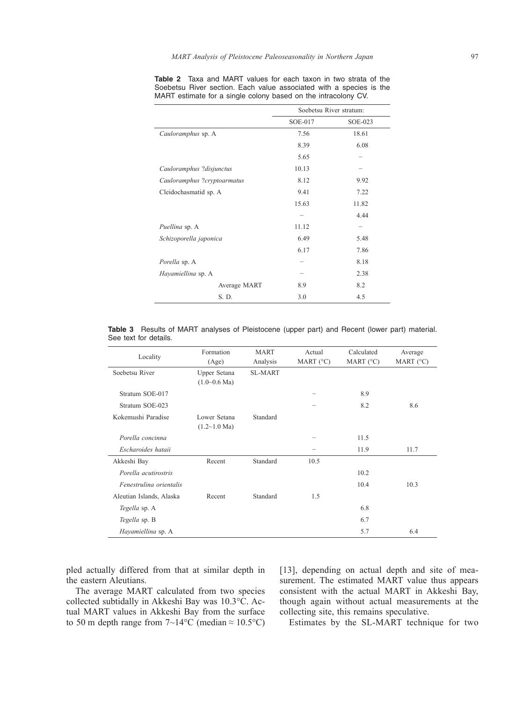|                             | Soebetsu River stratum: |         |  |  |
|-----------------------------|-------------------------|---------|--|--|
|                             | SOE-017                 | SOE-023 |  |  |
| Cauloramphus sp. A          | 7.56                    | 18.61   |  |  |
|                             | 8.39                    | 6.08    |  |  |
|                             | 5.65                    |         |  |  |
| Cauloramphus ?disjunctus    | 10.13                   |         |  |  |
| Cauloramphus ?cryptoarmatus | 8.12                    | 9.92    |  |  |
| Cleidochasmatid sp. A       | 9.41                    | 7.22    |  |  |
|                             | 15.63                   | 11.82   |  |  |
|                             |                         | 4.44    |  |  |
| Puellina sp. A              | 11.12                   |         |  |  |
| Schizoporella japonica      | 6.49<br>5.48            |         |  |  |
|                             | 6.17                    | 7.86    |  |  |
| Porella sp. A               |                         | 8.18    |  |  |
| Hayamiellina sp. A          |                         | 2.38    |  |  |
| Average MART                | 8.9                     | 8.2     |  |  |
| S. D.                       | 3.0                     | 4.5     |  |  |

**Table 2** Taxa and MART values for each taxon in two strata of the Soebetsu River section. Each value associated with a species is the MART estimate for a single colony based on the intracolony CV.

**Table 3** Results of MART analyses of Pleistocene (upper part) and Recent (lower part) material. See text for details.

| Locality                 | Formation<br>(Age)                          | <b>MART</b><br>Analysis | Actual<br>MART $(C)$ | Calculated<br>MART $(C)$ | Average<br>MART $(^{\circ}C)$ |
|--------------------------|---------------------------------------------|-------------------------|----------------------|--------------------------|-------------------------------|
| Soebetsu River           | Upper Setana<br>$(1.0 \sim 0.6 \text{ Ma})$ | <b>SL-MART</b>          |                      |                          |                               |
| Stratum SOE-017          |                                             |                         | -                    | 8.9                      |                               |
| Stratum SOE-023          |                                             |                         |                      | 8.2                      | 8.6                           |
| Kokemushi Paradise       | Lower Setana<br>$(1.2 \sim 1.0 \text{ Ma})$ | Standard                |                      |                          |                               |
| Porella concinna         |                                             |                         |                      | 11.5                     |                               |
| Escharoides hataii       |                                             |                         |                      | 11.9                     | 11.7                          |
| Akkeshi Bay              | Recent                                      | Standard                | 10.5                 |                          |                               |
| Porella acutirostris     |                                             |                         |                      | 10.2                     |                               |
| Fenestrulina orientalis  |                                             |                         |                      | 10.4                     | 10.3                          |
| Aleutian Islands, Alaska | Recent                                      | Standard                | 1.5                  |                          |                               |
| Tegella sp. A            |                                             |                         |                      | 6.8                      |                               |
| Tegella sp. B            |                                             |                         |                      | 6.7                      |                               |
| Hayamiellina sp. A       |                                             |                         |                      | 5.7                      | 6.4                           |

pled actually differed from that at similar depth in the eastern Aleutians.

The average MART calculated from two species collected subtidally in Akkeshi Bay was 10.3°C. Actual MART values in Akkeshi Bay from the surface to 50 m depth range from  $7{\sim}14^{\circ}C$  (median  $\approx 10.5^{\circ}C$ ) [13], depending on actual depth and site of measurement. The estimated MART value thus appears consistent with the actual MART in Akkeshi Bay, though again without actual measurements at the collecting site, this remains speculative.

Estimates by the SL-MART technique for two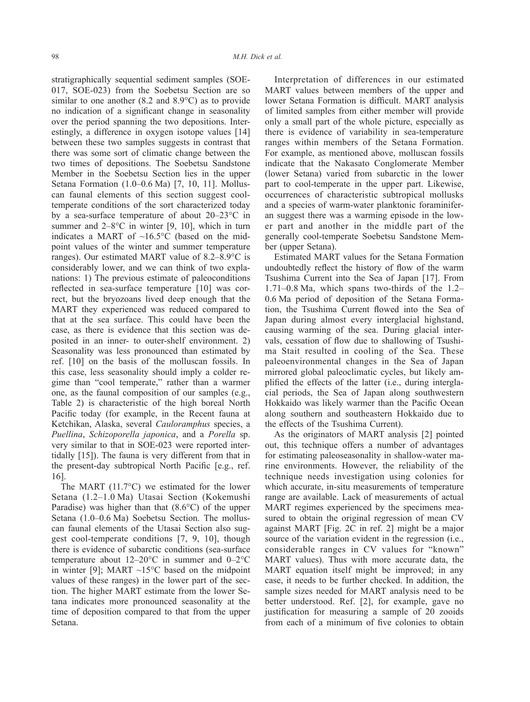stratigraphically sequential sediment samples (SOE-017, SOE-023) from the Soebetsu Section are so similar to one another (8.2 and 8.9°C) as to provide no indication of a significant change in seasonality over the period spanning the two depositions. Interestingly, a difference in oxygen isotope values [14] between these two samples suggests in contrast that there was some sort of climatic change between the two times of depositions. The Soebetsu Sandstone Member in the Soebetsu Section lies in the upper Setana Formation (1.0–0.6 Ma) [7, 10, 11]. Molluscan faunal elements of this section suggest cooltemperate conditions of the sort characterized today by a sea-surface temperature of about 20–23°C in summer and  $2-8$ °C in winter [9, 10], which in turn indicates a MART of  $~16.5^{\circ}$ C (based on the midpoint values of the winter and summer temperature ranges). Our estimated MART value of 8.2–8.9°C is considerably lower, and we can think of two explanations: 1) The previous estimate of paleoconditions reflected in sea-surface temperature [10] was correct, but the bryozoans lived deep enough that the MART they experienced was reduced compared to that at the sea surface. This could have been the case, as there is evidence that this section was deposited in an inner- to outer-shelf environment. 2) Seasonality was less pronounced than estimated by ref. [10] on the basis of the molluscan fossils. In this case, less seasonality should imply a colder regime than "cool temperate," rather than a warmer one, as the faunal composition of our samples (e.g., Table 2) is characteristic of the high boreal North Pacific today (for example, in the Recent fauna at Ketchikan, Alaska, several *Cauloramphus* species, a *Puellina*, *Schizoporella japonica*, and a *Porella* sp. very similar to that in SOE-023 were reported intertidally [15]). The fauna is very different from that in the present-day subtropical North Pacific [e.g., ref. 16].

The MART (11.7°C) we estimated for the lower Setana (1.2–1.0 Ma) Utasai Section (Kokemushi Paradise) was higher than that (8.6°C) of the upper Setana (1.0–0.6 Ma) Soebetsu Section. The molluscan faunal elements of the Utasai Section also suggest cool-temperate conditions [7, 9, 10], though there is evidence of subarctic conditions (sea-surface temperature about 12–20°C in summer and 0–2°C in winter [9]; MART  $\sim$ 15°C based on the midpoint values of these ranges) in the lower part of the section. The higher MART estimate from the lower Setana indicates more pronounced seasonality at the time of deposition compared to that from the upper Setana.

Interpretation of differences in our estimated MART values between members of the upper and lower Setana Formation is difficult. MART analysis of limited samples from either member will provide only a small part of the whole picture, especially as there is evidence of variability in sea-temperature ranges within members of the Setana Formation. For example, as mentioned above, molluscan fossils indicate that the Nakasato Conglomerate Member (lower Setana) varied from subarctic in the lower part to cool-temperate in the upper part. Likewise, occurrences of characteristic subtropical mollusks and a species of warm-water planktonic foraminiferan suggest there was a warming episode in the lower part and another in the middle part of the generally cool-temperate Soebetsu Sandstone Member (upper Setana).

Estimated MART values for the Setana Formation undoubtedly reflect the history of flow of the warm Tsushima Current into the Sea of Japan [17]. From 1.71–0.8 Ma, which spans two-thirds of the 1.2– 0.6 Ma period of deposition of the Setana Formation, the Tsushima Current flowed into the Sea of Japan during almost every interglacial highstand, causing warming of the sea. During glacial intervals, cessation of flow due to shallowing of Tsushima Stait resulted in cooling of the Sea. These paleoenvironmental changes in the Sea of Japan mirrored global paleoclimatic cycles, but likely amplified the effects of the latter (i.e., during interglacial periods, the Sea of Japan along southwestern Hokkaido was likely warmer than the Pacific Ocean along southern and southeastern Hokkaido due to the effects of the Tsushima Current).

As the originators of MART analysis [2] pointed out, this technique offers a number of advantages for estimating paleoseasonality in shallow-water marine environments. However, the reliability of the technique needs investigation using colonies for which accurate, in-situ measurements of temperature range are available. Lack of measurements of actual MART regimes experienced by the specimens measured to obtain the original regression of mean CV against MART [Fig. 2C in ref. 2] might be a major source of the variation evident in the regression (i.e., considerable ranges in CV values for "known" MART values). Thus with more accurate data, the MART equation itself might be improved; in any case, it needs to be further checked. In addition, the sample sizes needed for MART analysis need to be better understood. Ref. [2], for example, gave no justification for measuring a sample of 20 zooids from each of a minimum of five colonies to obtain